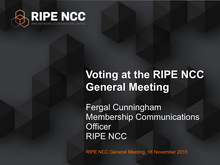

## **Voting at the RIPE NCC General Meeting**

Fergal Cunningham Membership Communications **Officer** RIPE NCC

RIPE NCC General Meeting, 18 November 2015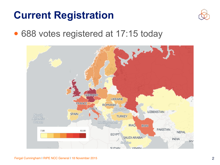#### **Current Registration**



• 688 votes registered at 17:15 today

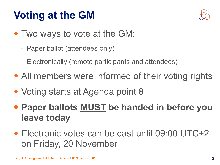## **Voting at the GM**



- Two ways to vote at the GM:
	- Paper ballot (attendees only)
	- Electronically (remote participants and attendees)
- All members were informed of their voting rights
- Voting starts at Agenda point 8
- **• Paper ballots MUST be handed in before you leave today**
- Electronic votes can be cast until 09:00 UTC+2 on Friday, 20 November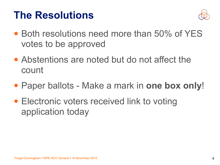#### **The Resolutions**



- Both resolutions need more than 50% of YES votes to be approved
- Abstentions are noted but do not affect the count
- Paper ballots Make a mark in **one box only**!
- Electronic voters received link to voting application today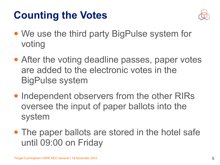## **Counting the Votes**



- We use the third party BigPulse system for voting
- After the voting deadline passes, paper votes are added to the electronic votes in the BigPulse system
- Independent observers from the other RIRs oversee the input of paper ballots into the system
- The paper ballots are stored in the hotel safe until 09:00 on Friday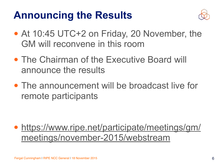### **Announcing the Results**



- At 10:45 UTC+2 on Friday, 20 November, the GM will reconvene in this room
- The Chairman of the Executive Board will announce the results
- The announcement will be broadcast live for remote participants

• [https://www.ripe.net/participate/meetings/gm/](https://www.ripe.net/participate/meetings/gm/meetings/november-2015/webstream) meetings/november-2015/webstream